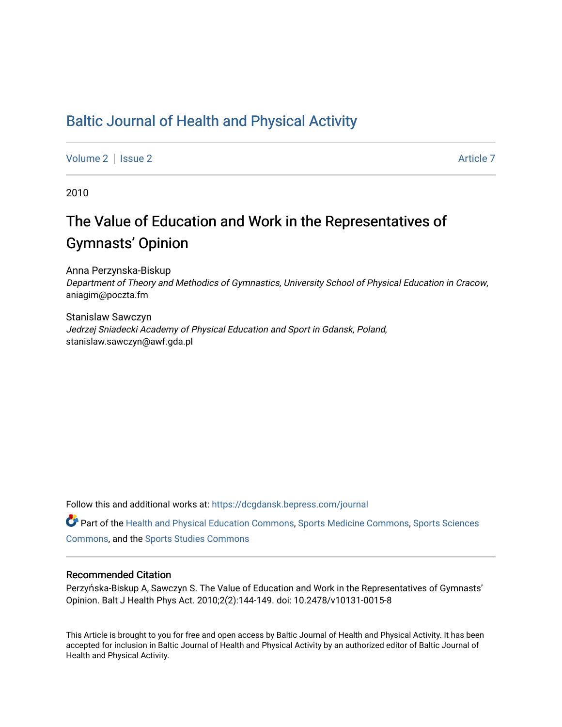# [Baltic Journal of Health and Physical Activity](https://dcgdansk.bepress.com/journal)

[Volume 2](https://dcgdansk.bepress.com/journal/vol2) | [Issue 2](https://dcgdansk.bepress.com/journal/vol2/iss2) Article 7

2010

# The Value of Education and Work in the Representatives of Gymnasts' Opinion

Anna Perzynska-Biskup Department of Theory and Methodics of Gymnastics, University School of Physical Education in Cracow, aniagim@poczta.fm

Stanislaw Sawczyn Jedrzej Sniadecki Academy of Physical Education and Sport in Gdansk, Poland, stanislaw.sawczyn@awf.gda.pl

Follow this and additional works at: [https://dcgdansk.bepress.com/journal](https://dcgdansk.bepress.com/journal?utm_source=dcgdansk.bepress.com%2Fjournal%2Fvol2%2Fiss2%2F7&utm_medium=PDF&utm_campaign=PDFCoverPages)

Part of the [Health and Physical Education Commons](http://network.bepress.com/hgg/discipline/1327?utm_source=dcgdansk.bepress.com%2Fjournal%2Fvol2%2Fiss2%2F7&utm_medium=PDF&utm_campaign=PDFCoverPages), [Sports Medicine Commons,](http://network.bepress.com/hgg/discipline/1331?utm_source=dcgdansk.bepress.com%2Fjournal%2Fvol2%2Fiss2%2F7&utm_medium=PDF&utm_campaign=PDFCoverPages) [Sports Sciences](http://network.bepress.com/hgg/discipline/759?utm_source=dcgdansk.bepress.com%2Fjournal%2Fvol2%2Fiss2%2F7&utm_medium=PDF&utm_campaign=PDFCoverPages) [Commons](http://network.bepress.com/hgg/discipline/759?utm_source=dcgdansk.bepress.com%2Fjournal%2Fvol2%2Fiss2%2F7&utm_medium=PDF&utm_campaign=PDFCoverPages), and the [Sports Studies Commons](http://network.bepress.com/hgg/discipline/1198?utm_source=dcgdansk.bepress.com%2Fjournal%2Fvol2%2Fiss2%2F7&utm_medium=PDF&utm_campaign=PDFCoverPages) 

#### Recommended Citation

Perzyńska-Biskup A, Sawczyn S. The Value of Education and Work in the Representatives of Gymnasts' Opinion. Balt J Health Phys Act. 2010;2(2):144-149. doi: 10.2478/v10131-0015-8

This Article is brought to you for free and open access by Baltic Journal of Health and Physical Activity. It has been accepted for inclusion in Baltic Journal of Health and Physical Activity by an authorized editor of Baltic Journal of Health and Physical Activity.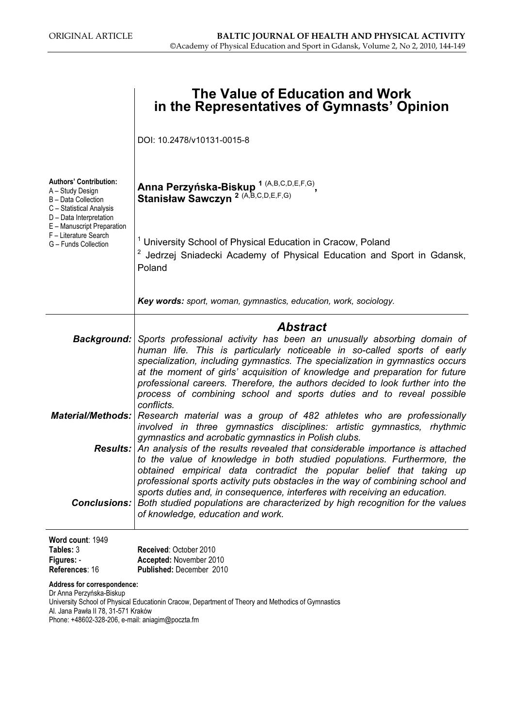|                                                                                                                                                                                                                | The Value of Education and Work<br>in the Representatives of Gymnasts' Opinion                                                                                                                                                                                                                                                                                                                                                                                                                                                                                                      |  |  |  |  |  |  |
|----------------------------------------------------------------------------------------------------------------------------------------------------------------------------------------------------------------|-------------------------------------------------------------------------------------------------------------------------------------------------------------------------------------------------------------------------------------------------------------------------------------------------------------------------------------------------------------------------------------------------------------------------------------------------------------------------------------------------------------------------------------------------------------------------------------|--|--|--|--|--|--|
|                                                                                                                                                                                                                | DOI: 10.2478/v10131-0015-8                                                                                                                                                                                                                                                                                                                                                                                                                                                                                                                                                          |  |  |  |  |  |  |
| <b>Authors' Contribution:</b><br>A – Study Design<br>B - Data Collection<br>C - Statistical Analysis<br>D - Data Interpretation<br>E - Manuscript Preparation<br>F - Literature Search<br>G - Funds Collection | Anna Perzyńska-Biskup 1 (A,B,C,D,E,F,G),<br>Stanisław Sawczyn <sup>2 (A,B,C,D,E,F,G)</sup>                                                                                                                                                                                                                                                                                                                                                                                                                                                                                          |  |  |  |  |  |  |
|                                                                                                                                                                                                                | <sup>1</sup> University School of Physical Education in Cracow, Poland<br><sup>2</sup> Jedrzej Sniadecki Academy of Physical Education and Sport in Gdansk,<br>Poland                                                                                                                                                                                                                                                                                                                                                                                                               |  |  |  |  |  |  |
|                                                                                                                                                                                                                | Key words: sport, woman, gymnastics, education, work, sociology.                                                                                                                                                                                                                                                                                                                                                                                                                                                                                                                    |  |  |  |  |  |  |
| <b>Background:</b>                                                                                                                                                                                             | <b>Abstract</b><br>Sports professional activity has been an unusually absorbing domain of<br>human life. This is particularly noticeable in so-called sports of early<br>specialization, including gymnastics. The specialization in gymnastics occurs<br>at the moment of girls' acquisition of knowledge and preparation for future<br>professional careers. Therefore, the authors decided to look further into the<br>process of combining school and sports duties and to reveal possible                                                                                      |  |  |  |  |  |  |
|                                                                                                                                                                                                                | conflicts.<br><b>Material/Methods:</b> Research material was a group of 482 athletes who are professionally<br>involved in three gymnastics disciplines: artistic gymnastics, rhythmic<br>gymnastics and acrobatic gymnastics in Polish clubs.<br><b>Results:</b> An analysis of the results revealed that considerable importance is attached<br>to the value of knowledge in both studied populations. Furthermore, the<br>obtained empirical data contradict the popular belief that taking up<br>professional sports activity puts obstacles in the way of combining school and |  |  |  |  |  |  |
| <b>Conclusions:</b>                                                                                                                                                                                            | sports duties and, in consequence, interferes with receiving an education.<br>Both studied populations are characterized by high recognition for the values<br>of knowledge, education and work.                                                                                                                                                                                                                                                                                                                                                                                    |  |  |  |  |  |  |
| Word count: 1949<br>Tables: 3<br>Figures: -<br>References: 16                                                                                                                                                  | Received: October 2010<br>Accepted: November 2010<br>Published: December 2010                                                                                                                                                                                                                                                                                                                                                                                                                                                                                                       |  |  |  |  |  |  |
| Dr Anna Perzyńska-Biskup<br>Al. Jana Pawła II 78, 31-571 Kraków                                                                                                                                                | Address for correspondence:<br>University School of Physical Educationin Cracow, Department of Theory and Methodics of Gymnastics                                                                                                                                                                                                                                                                                                                                                                                                                                                   |  |  |  |  |  |  |

Phone: +48602-328-206, e-mail: aniagim@poczta.fm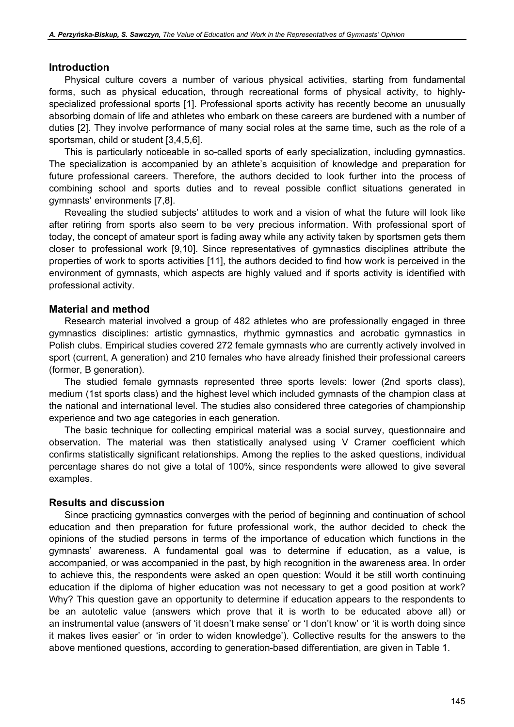#### **Introduction**

Physical culture covers a number of various physical activities, starting from fundamental forms, such as physical education, through recreational forms of physical activity, to highlyspecialized professional sports [1]. Professional sports activity has recently become an unusually absorbing domain of life and athletes who embark on these careers are burdened with a number of duties [2]. They involve performance of many social roles at the same time, such as the role of a sportsman, child or student [3,4,5,6].

This is particularly noticeable in so-called sports of early specialization, including gymnastics. The specialization is accompanied by an athlete's acquisition of knowledge and preparation for future professional careers. Therefore, the authors decided to look further into the process of combining school and sports duties and to reveal possible conflict situations generated in gymnasts' environments [7,8].

Revealing the studied subjects' attitudes to work and a vision of what the future will look like after retiring from sports also seem to be very precious information. With professional sport of today, the concept of amateur sport is fading away while any activity taken by sportsmen gets them closer to professional work [9,10]. Since representatives of gymnastics disciplines attribute the properties of work to sports activities [11], the authors decided to find how work is perceived in the environment of gymnasts, which aspects are highly valued and if sports activity is identified with professional activity.

### Material and method

Research material involved a group of 482 athletes who are professionally engaged in three gymnastics disciplines: artistic gymnastics, rhythmic gymnastics and acrobatic gymnastics in Polish clubs. Empirical studies covered 272 female gymnasts who are currently actively involved in sport (current, A generation) and 210 females who have already finished their professional careers (former, B generation).

The studied female gymnasts represented three sports levels: lower (2nd sports class), medium (1st sports class) and the highest level which included gymnasts of the champion class at the national and international level. The studies also considered three categories of championship experience and two age categories in each generation.

The basic technique for collecting empirical material was a social survey, questionnaire and observation. The material was then statistically analysed using V Cramer coefficient which confirms statistically significant relationships. Among the replies to the asked questions, individual percentage shares do not give a total of 100%, since respondents were allowed to give several examples.

#### Results and discussion

Since practicing gymnastics converges with the period of beginning and continuation of school education and then preparation for future professional work, the author decided to check the opinions of the studied persons in terms of the importance of education which functions in the gymnasts' awareness. A fundamental goal was to determine if education, as a value, is accompanied, or was accompanied in the past, by high recognition in the awareness area. In order to achieve this, the respondents were asked an open question: Would it be still worth continuing education if the diploma of higher education was not necessary to get a good position at work? Why? This question gave an opportunity to determine if education appears to the respondents to be an autotelic value (answers which prove that it is worth to be educated above all) or an instrumental value (answers of 'it doesn't make sense' or 'I don't know' or 'it is worth doing since it makes lives easier' or 'in order to widen knowledge'). Collective results for the answers to the above mentioned questions, according to generation-based differentiation, are given in Table 1.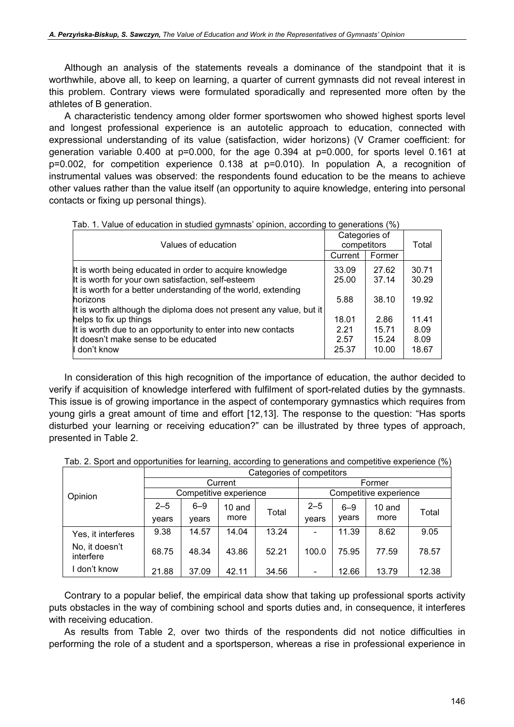Although an analysis of the statements reveals a dominance of the standpoint that it is worthwhile, above all, to keep on learning, a quarter of current gymnasts did not reveal interest in this problem. Contrary views were formulated sporadically and represented more often by the athletes of B generation.

A characteristic tendency among older former sportswomen who showed highest sports level and longest professional experience is an autotelic approach to education, connected with expressional understanding of its value (satisfaction, wider horizons) (V Cramer coefficient: for generation variable 0.400 at p=0.000, for the age 0.394 at p=0.000, for sports level 0.161 at p=0.002, for competition experience 0.138 at p=0.010). In population A, a recognition of instrumental values was observed: the respondents found education to be the means to achieve other values rather than the value itself (an opportunity to aquire knowledge, entering into personal contacts or fixing up personal things).

| Values of education                                                                                                                               | Categories of<br>competitors   | Total                           |                                |
|---------------------------------------------------------------------------------------------------------------------------------------------------|--------------------------------|---------------------------------|--------------------------------|
|                                                                                                                                                   | Current                        | Former                          |                                |
| It is worth being educated in order to acquire knowledge<br>It is worth for your own satisfaction, self-esteem                                    | 33.09<br>25.00                 | 27.62<br>37.14                  | 30.71<br>30.29                 |
| It is worth for a better understanding of the world, extending<br>horizons<br>It is worth although the diploma does not present any value, but it | 5.88                           | 38.10                           | 19.92                          |
| helps to fix up things<br>It is worth due to an opportunity to enter into new contacts<br>It doesn't make sense to be educated<br>I don't know    | 18.01<br>2.21<br>2.57<br>25.37 | 2.86<br>15.71<br>15.24<br>10.00 | 11.41<br>8.09<br>8.09<br>18.67 |

Tab. 1. Value of education in studied gymnasts' opinion, according to generations (%)

In consideration of this high recognition of the importance of education, the author decided to verify if acquisition of knowledge interfered with fulfilment of sport-related duties by the gymnasts. This issue is of growing importance in the aspect of contemporary gymnastics which requires from young girls a great amount of time and effort [12,13]. The response to the question: "Has sports disturbed your learning or receiving education?" can be illustrated by three types of approach, presented in Table 2.

| Tab. 2. Sport and opportunities for learning, according to generations and competitive experience (%) |  |  |
|-------------------------------------------------------------------------------------------------------|--|--|
|                                                                                                       |  |  |

|                             | Categories of competitors |         |        |       |                          |         |        |       |  |
|-----------------------------|---------------------------|---------|--------|-------|--------------------------|---------|--------|-------|--|
| Opinion                     | Current                   |         |        |       | Former                   |         |        |       |  |
|                             | Competitive experience    |         |        |       | Competitive experience   |         |        |       |  |
|                             | $2 - 5$                   | $6 - 9$ | 10 and | Total | $2 - 5$                  | $6 - 9$ | 10 and | Total |  |
|                             | vears                     | years   | more   |       | vears                    | years   | more   |       |  |
| Yes, it interferes          | 9.38                      | 14.57   | 14.04  | 13.24 | $\blacksquare$           | 11.39   | 8.62   | 9.05  |  |
| No, it doesn't<br>interfere | 68.75                     | 48.34   | 43.86  | 52.21 | 100.0                    | 75.95   | 77.59  | 78.57 |  |
| don't know                  | 21.88                     | 37.09   | 42.11  | 34.56 | $\overline{\phantom{a}}$ | 12.66   | 13.79  | 12.38 |  |

Contrary to a popular belief, the empirical data show that taking up professional sports activity puts obstacles in the way of combining school and sports duties and, in consequence, it interferes with receiving education.

As results from Table 2, over two thirds of the respondents did not notice difficulties in performing the role of a student and a sportsperson, whereas a rise in professional experience in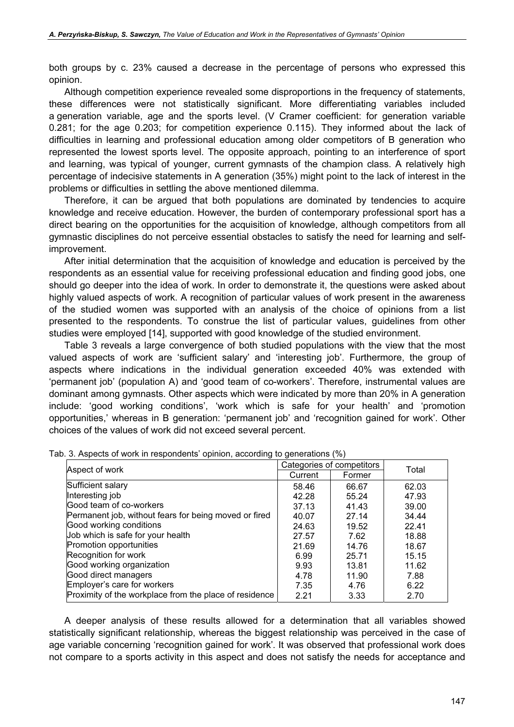both groups by c. 23% caused a decrease in the percentage of persons who expressed this opinion.

Although competition experience revealed some disproportions in the frequency of statements, these differences were not statistically significant. More differentiating variables included a generation variable, age and the sports level. (V Cramer coefficient: for generation variable 0.281; for the age 0.203; for competition experience 0.115). They informed about the lack of difficulties in learning and professional education among older competitors of B generation who represented the lowest sports level. The opposite approach, pointing to an interference of sport and learning, was typical of younger, current gymnasts of the champion class. A relatively high percentage of indecisive statements in A generation (35%) might point to the lack of interest in the problems or difficulties in settling the above mentioned dilemma.

Therefore, it can be argued that both populations are dominated by tendencies to acquire knowledge and receive education. However, the burden of contemporary professional sport has a direct bearing on the opportunities for the acquisition of knowledge, although competitors from all gymnastic disciplines do not perceive essential obstacles to satisfy the need for learning and selfimprovement.

After initial determination that the acquisition of knowledge and education is perceived by the respondents as an essential value for receiving professional education and finding good jobs, one should go deeper into the idea of work. In order to demonstrate it, the questions were asked about highly valued aspects of work. A recognition of particular values of work present in the awareness of the studied women was supported with an analysis of the choice of opinions from a list presented to the respondents. To construe the list of particular values, guidelines from other studies were employed [14], supported with good knowledge of the studied environment.

Table 3 reveals a large convergence of both studied populations with the view that the most valued aspects of work are 'sufficient salary' and 'interesting job'. Furthermore, the group of aspects where indications in the individual generation exceeded 40% was extended with 'permanent job' (population A) and 'good team of co-workers'. Therefore, instrumental values are dominant among gymnasts. Other aspects which were indicated by more than 20% in A generation include: 'good working conditions', 'work which is safe for your health' and 'promotion opportunities,' whereas in B generation: 'permanent job' and 'recognition gained for work'. Other choices of the values of work did not exceed several percent.

| Aspect of work                                         | Categories of competitors | Total  |       |
|--------------------------------------------------------|---------------------------|--------|-------|
|                                                        | Current                   | Former |       |
| Sufficient salary                                      | 58.46                     | 66.67  | 62.03 |
| Interesting job                                        | 42.28                     | 55.24  | 47.93 |
| Good team of co-workers                                | 37.13                     | 41.43  | 39.00 |
| Permanent job, without fears for being moved or fired  | 40.07                     | 27.14  | 34.44 |
| Good working conditions                                | 24.63                     | 19.52  | 22.41 |
| Job which is safe for your health                      | 27.57                     | 7.62   | 18.88 |
| Promotion opportunities                                | 21.69                     | 14.76  | 18.67 |
| Recognition for work                                   | 6.99                      | 25.71  | 15.15 |
| Good working organization                              | 9.93                      | 13.81  | 11.62 |
| Good direct managers                                   | 4.78                      | 11.90  | 7.88  |
| Employer's care for workers                            | 7.35                      | 4.76   | 6.22  |
| Proximity of the workplace from the place of residence | 2.21                      | 3.33   | 2.70  |

|  | Tab. 3. Aspects of work in respondents' opinion, according to generations (%) |  |  |  |
|--|-------------------------------------------------------------------------------|--|--|--|
|  |                                                                               |  |  |  |

A deeper analysis of these results allowed for a determination that all variables showed statistically significant relationship, whereas the biggest relationship was perceived in the case of age variable concerning 'recognition gained for work'. It was observed that professional work does not compare to a sports activity in this aspect and does not satisfy the needs for acceptance and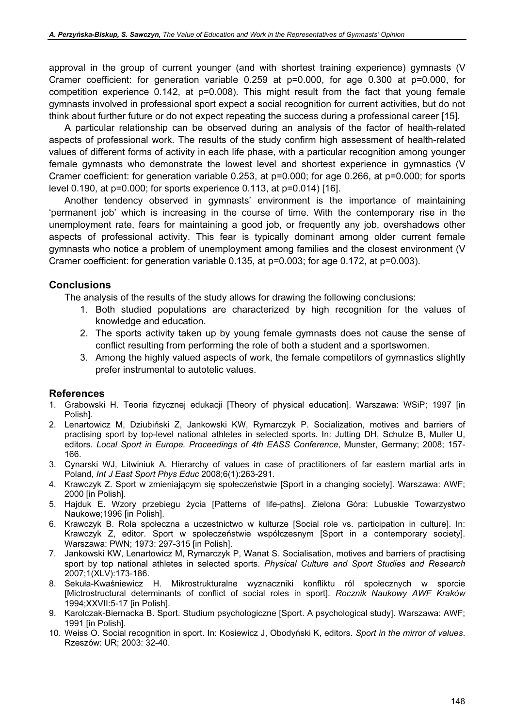approval in the group of current younger (and with shortest training experience) gymnasts (V Cramer coefficient: for generation variable 0.259 at p=0.000, for age 0.300 at p=0.000, for competition experience 0.142, at p=0.008). This might result from the fact that young female gymnasts involved in professional sport expect a social recognition for current activities, but do not think about further future or do not expect repeating the success during a professional career [15].

A particular relationship can be observed during an analysis of the factor of health-related aspects of professional work. The results of the study confirm high assessment of health-related values of different forms of activity in each life phase, with a particular recognition among younger female gymnasts who demonstrate the lowest level and shortest experience in gymnastics (V Cramer coefficient: for generation variable 0.253, at p=0.000; for age 0.266, at p=0.000; for sports level 0.190, at p=0.000; for sports experience 0.113, at p=0.014) [16].

Another tendency observed in gymnasts' environment is the importance of maintaining 'permanent job' which is increasing in the course of time. With the contemporary rise in the unemployment rate, fears for maintaining a good job, or frequently any job, overshadows other aspects of professional activity. This fear is typically dominant among older current female gymnasts who notice a problem of unemployment among families and the closest environment (V Cramer coefficient: for generation variable 0.135, at p=0.003; for age 0.172, at p=0.003).

## **Conclusions**

The analysis of the results of the study allows for drawing the following conclusions:

- 1. Both studied populations are characterized by high recognition for the values of knowledge and education.
- 2. The sports activity taken up by young female gymnasts does not cause the sense of conflict resulting from performing the role of both a student and a sportswomen.
- 3. Among the highly valued aspects of work, the female competitors of gymnastics slightly prefer instrumental to autotelic values.

### References

- 1. Grabowski H. Teoria fizycznej edukacji [Theory of physical education]. Warszawa: WSiP; 1997 [in Polish].
- 2. Lenartowicz M, Dziubiński Z, Jankowski KW, Rymarczyk P. Socialization, motives and barriers of practising sport by top-level national athletes in selected sports. In: Jutting DH, Schulze B, Muller U, editors. Local Sport in Europe. Proceedings of 4th EASS Conference, Munster, Germany; 2008; 157- 166.
- 3. Cynarski WJ, Litwiniuk A. Hierarchy of values in case of practitioners of far eastern martial arts in Poland, Int J East Sport Phys Educ 2008;6(1):263-291.
- 4. Krawczyk Z. Sport w zmieniającym się społeczeństwie [Sport in a changing society]. Warszawa: AWF; 2000 [in Polish].
- 5. Hajduk E. Wzory przebiegu życia [Patterns of life-paths]. Zielona Góra: Lubuskie Towarzystwo Naukowe;1996 [in Polish].
- 6. Krawczyk B. Rola społeczna a uczestnictwo w kulturze [Social role vs. participation in culture]. In: Krawczyk Z, editor. Sport w społeczeństwie współczesnym [Sport in a contemporary society]. Warszawa: PWN; 1973: 297-315 [in Polish].
- 7. Jankowski KW, Lenartowicz M, Rymarczyk P, Wanat S. Socialisation, motives and barriers of practising sport by top national athletes in selected sports. Physical Culture and Sport Studies and Research 2007;1(XLV):173-186.
- 8. Sekuła-Kwaśniewicz H. Mikrostrukturalne wyznaczniki konfliktu ról społecznych w sporcie [Mictrostructural determinants of conflict of social roles in sport]. Rocznik Naukowy AWF Kraków 1994;XXVII:5-17 [in Polish].
- 9. Karolczak-Biernacka B. Sport. Studium psychologiczne [Sport. A psychological study]. Warszawa: AWF; 1991 [in Polish].
- 10. Weiss O. Social recognition in sport. In: Kosiewicz J, Obodyński K, editors. Sport in the mirror of values. Rzeszów: UR; 2003: 32-40.